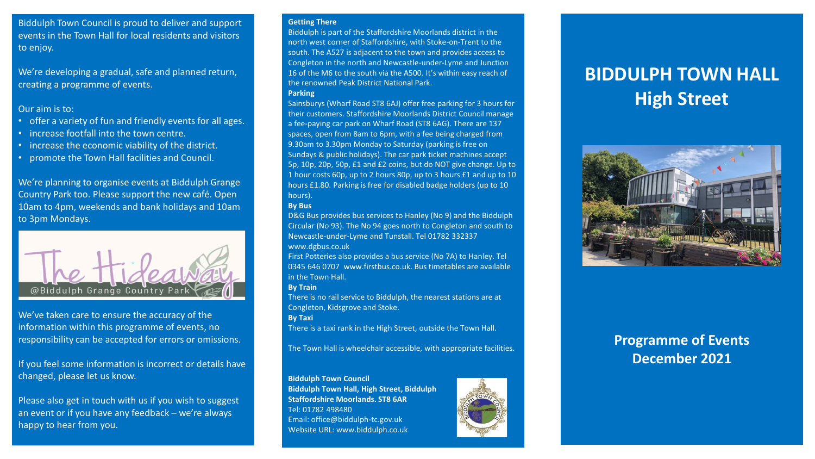Biddulph Town Council is proud to deliver and support events in the Town Hall for local residents and visitors to enjoy.

We're developing a gradual, safe and planned return, creating a programme of events.

#### Our aim is to:

- offer a variety of fun and friendly events for all ages.
- increase footfall into the town centre.
- increase the economic viability of the district.
- promote the Town Hall facilities and Council.

We're planning to organise events at Biddulph Grange Country Park too. Please support the new café. Open 10am to 4pm, weekends and bank holidays and 10am to 3pm Mondays.



We've taken care to ensure the accuracy of the information within this programme of events, no responsibility can be accepted for errors or omissions.

If you feel some information is incorrect or details have changed, please let us know.

Please also get in touch with us if you wish to suggest an event or if you have any feedback – we're always happy to hear from you.

#### **Getting There**

Biddulph is part of the Staffordshire Moorlands district in the north west corner of Staffordshire, with Stoke-on-Trent to the south. The A527 is adjacent to the town and provides access to Congleton in the north and Newcastle-under-Lyme and Junction 16 of the M6 to the south via the A500. It's within easy reach of the renowned Peak District National Park. **Parking** 

Sainsburys (Wharf Road ST8 6AJ) offer free parking for 3 hours for their customers. Staffordshire Moorlands District Council manage a fee-paying car park on Wharf Road (ST8 6AG). There are 137 spaces, open from 8am to 6pm, with a fee being charged from 9.30am to 3.30pm Monday to Saturday (parking is free on Sundays & public holidays). The car park ticket machines accept 5p, 10p, 20p, 50p, £1 and £2 coins, but do NOT give change. Up to 1 hour costs 60p, up to 2 hours 80p, up to 3 hours £1 and up to 10 hours £1.80. Parking is free for disabled badge holders (up to 10 hours).

#### **By Bus**

D&G Bus provides bus services to Hanley (No 9) and the Biddulph Circular (No 93). The No 94 goes north to Congleton and south to Newcastle-under-Lyme and Tunstall. Tel 01782 332337 www.dgbus.co.uk

First Potteries also provides a bus service (No 7A) to Hanley. Tel 0345 646 0707 www.firstbus.co.uk. Bus timetables are available in the Town Hall.

#### **By Train**

There is no rail service to Biddulph, the nearest stations are at Congleton, Kidsgrove and Stoke.

**By Taxi** 

There is a taxi rank in the High Street, outside the Town Hall.

The Town Hall is wheelchair accessible, with appropriate facilities.

#### **Biddulph Town Council**

**Biddulph Town Hall, High Street, Biddulph Staffordshire Moorlands. ST8 6AR**  Tel: 01782 498480 Email: office@biddulph-tc.gov.uk Website URL: www.biddulph.co.uk



# **BIDDULPH TOWN HALL High Street**



# **Programme of Events December 2021**